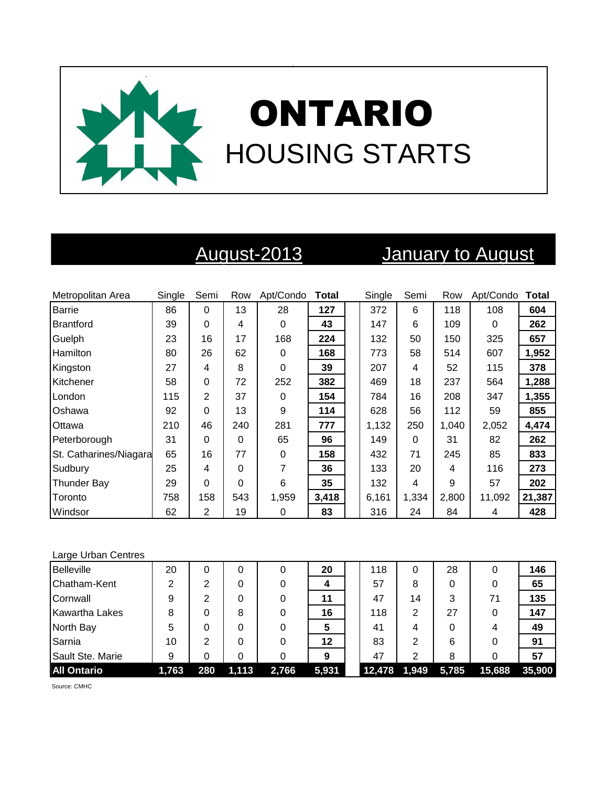

# August-2013 January to August

| Metropolitan Area      | Single | Semi           | Row | Apt/Condo | <b>Total</b> | Single | Semi  | Row   | Apt/Condo | <b>Total</b> |
|------------------------|--------|----------------|-----|-----------|--------------|--------|-------|-------|-----------|--------------|
| Barrie                 | 86     | $\Omega$       | 13  | 28        | 127          | 372    | 6     | 118   | 108       | 604          |
| Brantford              | 39     | 0              | 4   | 0         | 43           | 147    | 6     | 109   | 0         | 262          |
| Guelph                 | 23     | 16             | 17  | 168       | 224          | 132    | 50    | 150   | 325       | 657          |
| <b>Hamilton</b>        | 80     | 26             | 62  | 0         | 168          | 773    | 58    | 514   | 607       | 1,952        |
| Kingston               | 27     | 4              | 8   | 0         | 39           | 207    | 4     | 52    | 115       | 378          |
| Kitchener              | 58     | 0              | 72  | 252       | 382          | 469    | 18    | 237   | 564       | 1,288        |
| London                 | 115    | $\overline{2}$ | 37  | 0         | 154          | 784    | 16    | 208   | 347       | 1,355        |
| <b>Oshawa</b>          | 92     | 0              | 13  | 9         | 114          | 628    | 56    | 112   | 59        | 855          |
| Ottawa                 | 210    | 46             | 240 | 281       | 777          | 1,132  | 250   | 1,040 | 2,052     | 4,474        |
| Peterborough           | 31     | 0              | 0   | 65        | 96           | 149    | 0     | 31    | 82        | 262          |
| St. Catharines/Niagara | 65     | 16             | 77  | 0         | 158          | 432    | 71    | 245   | 85        | 833          |
| Sudbury                | 25     | 4              | 0   | 7         | 36           | 133    | 20    | 4     | 116       | 273          |
| <b>Thunder Bay</b>     | 29     | 0              | 0   | 6         | 35           | 132    | 4     | 9     | 57        | 202          |
| Toronto                | 758    | 158            | 543 | 1,959     | 3,418        | 6,161  | 1,334 | 2,800 | 11,092    | 21,387       |
| Windsor                | 62     | 2              | 19  | 0         | 83           | 316    | 24    | 84    | 4         | 428          |

### Large Urban Centres

| <b>Belleville</b>     | 20    | 0   | 0     |       | 20    | 118    | 0     | 28    | 0      | 146    |
|-----------------------|-------|-----|-------|-------|-------|--------|-------|-------|--------|--------|
| Chatham-Kent          | 2     | ◠   | 0     |       |       | 57     | 8     | 0     | 0      | 65     |
| Cornwall              | 9     | ⌒   | 0     |       | 11    | 47     | 14    | 3     | 71     | 135    |
| <b>Kawartha Lakes</b> | 8     |     | 8     |       | 16    | 118    | 2     | 27    | 0      | 147    |
| North Bay             | 5     |     | 0     |       | 5     | 41     | 4     | O     | 4      | 49     |
| Sarnia                | 10    | າ   | 0     |       | 12    | 83     | 2     | 6     |        | 91     |
| Sault Ste. Marie      | 9     | 0   | 0     |       | 9     | 47     | 2     | 8     |        | 57     |
| <b>All Ontario</b>    | 1,763 | 280 | 1,113 | 2,766 | 5,931 | 12,478 | 1.949 | 5,785 | 15,688 | 35,900 |

Source: CMHC